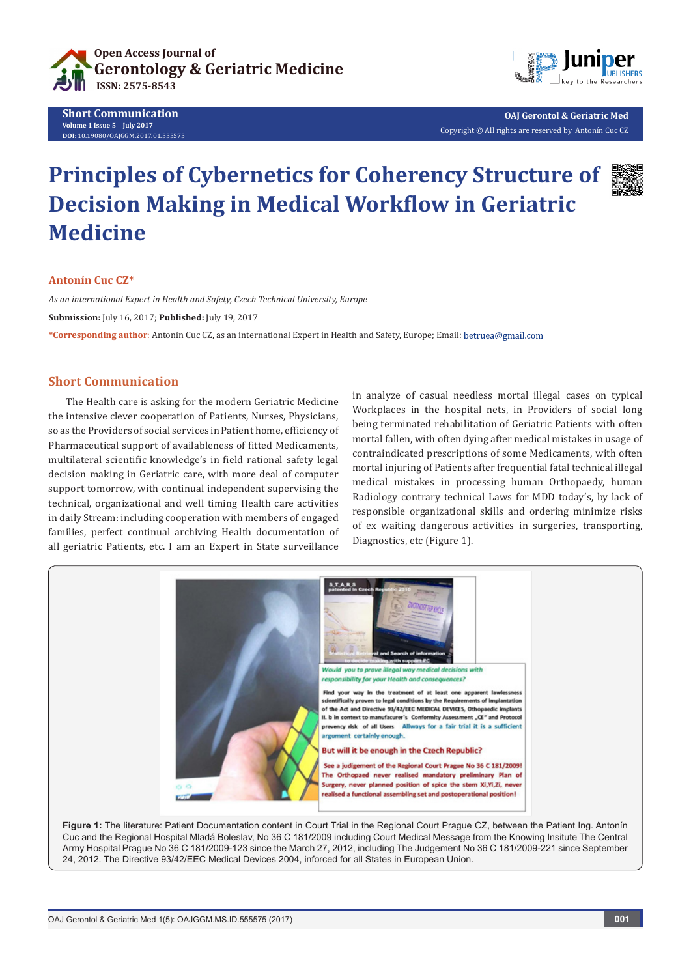

**Short Communication Volume 1 Issue 5** - **July 2017 DOI:** [10.19080/OAJGGM.2017.01.555575](http://dx.doi.org/10.19080/OAJGGM.2017.01.555575
)



**OAJ Gerontol & Geriatric Med** Copyright © All rights are reserved by Antonín Cuc CZ

## **Principles of Cybernetics for Coherency Structure of Decision Making in Medical Workflow in Geriatric Medicine**

## **Antonín Cuc CZ\***

*As an international Expert in Health and Safety, Czech Technical University, Europe* **Submission:** July 16, 2017; **Published:** July 19, 2017 **\*Corresponding author**: Antonín Cuc CZ, as an international Expert in Health and Safety, Europe; Email:

## **Short Communication**

The Health care is asking for the modern Geriatric Medicine the intensive clever cooperation of Patients, Nurses, Physicians, so as the Providers of social services in Patient home, efficiency of Pharmaceutical support of availableness of fitted Medicaments, multilateral scientific knowledge's in field rational safety legal decision making in Geriatric care, with more deal of computer support tomorrow, with continual independent supervising the technical, organizational and well timing Health care activities in daily Stream: including cooperation with members of engaged families, perfect continual archiving Health documentation of all geriatric Patients, etc. I am an Expert in State surveillance

in analyze of casual needless mortal illegal cases on typical Workplaces in the hospital nets, in Providers of social long being terminated rehabilitation of Geriatric Patients with often mortal fallen, with often dying after medical mistakes in usage of contraindicated prescriptions of some Medicaments, with often mortal injuring of Patients after frequential fatal technical illegal medical mistakes in processing human Orthopaedy, human Radiology contrary technical Laws for MDD today's, by lack of responsible organizational skills and ordering minimize risks of ex waiting dangerous activities in surgeries, transporting, Diagnostics, etc (Figure 1).



Figure 1: The literature: Patient Documentation content in Court Trial in the Regional Court Prague CZ, between the Patient Ing. Antonín Cuc and the Regional Hospital Mladá Boleslav, No 36 C 181/2009 including Court Medical Message from the Knowing Insitute The Central Army Hospital Prague No 36 C 181/2009-123 since the March 27, 2012, including The Judgement No 36 C 181/2009-221 since September 24, 2012. The Directive 93/42/EEC Medical Devices 2004, inforced for all States in European Union.